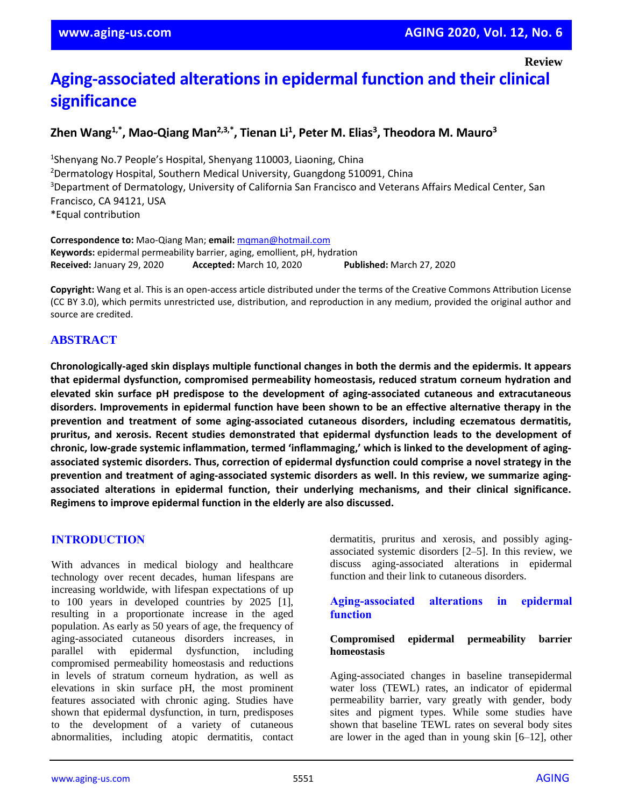**Review**

# **Aging-associated alterations in epidermal function and their clinical significance**

# **Zhen Wang1,\* , Mao-Qiang Man2,3,\* , Tienan Li<sup>1</sup> , Peter M. Elias<sup>3</sup> , Theodora M. Mauro<sup>3</sup>**

<sup>1</sup>Shenyang No.7 People's Hospital, Shenyang 110003, Liaoning, China <sup>2</sup>Dermatology Hospital, Southern Medical University, Guangdong 510091, China <sup>3</sup>Department of Dermatology, University of California San Francisco and Veterans Affairs Medical Center, San Francisco, CA 94121, USA \*Equal contribution

**Correspondence to:** Mao-Qiang Man; **email:** [mqman@hotmail.com](mailto:mqman@hotmail.com) **Keywords:** epidermal permeability barrier, aging, emollient, pH, hydration **Received:** January 29, 2020 **Accepted:** March 10, 2020 **Published:** March 27, 2020

**Copyright:** Wang et al. This is an open-access article distributed under the terms of the Creative Commons Attribution License (CC BY 3.0), which permits unrestricted use, distribution, and reproduction in any medium, provided the original author and source are credited.

## **ABSTRACT**

**Chronologically-aged skin displays multiple functional changes in both the dermis and the epidermis. It appears that epidermal dysfunction, compromised permeability homeostasis, reduced stratum corneum hydration and elevated skin surface pH predispose to the development of aging-associated cutaneous and extracutaneous disorders. Improvements in epidermal function have been shown to be an effective alternative therapy in the prevention and treatment of some aging-associated cutaneous disorders, including eczematous dermatitis, pruritus, and xerosis. Recent studies demonstrated that epidermal dysfunction leads to the development of chronic, low-grade systemic inflammation, termed 'inflammaging,' which is linked to the development of agingassociated systemic disorders. Thus, correction of epidermal dysfunction could comprise a novel strategy in the prevention and treatment of aging-associated systemic disorders as well. In this review, we summarize agingassociated alterations in epidermal function, their underlying mechanisms, and their clinical significance. Regimens to improve epidermal function in the elderly are also discussed.**

#### **INTRODUCTION**

With advances in medical biology and healthcare technology over recent decades, human lifespans are increasing worldwide, with lifespan expectations of up to 100 years in developed countries by 2025 [1], resulting in a proportionate increase in the aged population. As early as 50 years of age, the frequency of aging-associated cutaneous disorders increases, in parallel with epidermal dysfunction, including compromised permeability homeostasis and reductions in levels of stratum corneum hydration, as well as elevations in skin surface pH, the most prominent features associated with chronic aging. Studies have shown that epidermal dysfunction, in turn, predisposes to the development of a variety of cutaneous abnormalities, including atopic dermatitis, contact

dermatitis, pruritus and xerosis, and possibly agingassociated systemic disorders [2–5]. In this review, we discuss aging-associated alterations in epidermal function and their link to cutaneous disorders.

#### **Aging-associated alterations in epidermal function**

#### **Compromised epidermal permeability barrier homeostasis**

Aging-associated changes in baseline transepidermal water loss (TEWL) rates, an indicator of epidermal permeability barrier, vary greatly with gender, body sites and pigment types. While some studies have shown that baseline TEWL rates on several body sites are lower in the aged than in young skin [6–12], other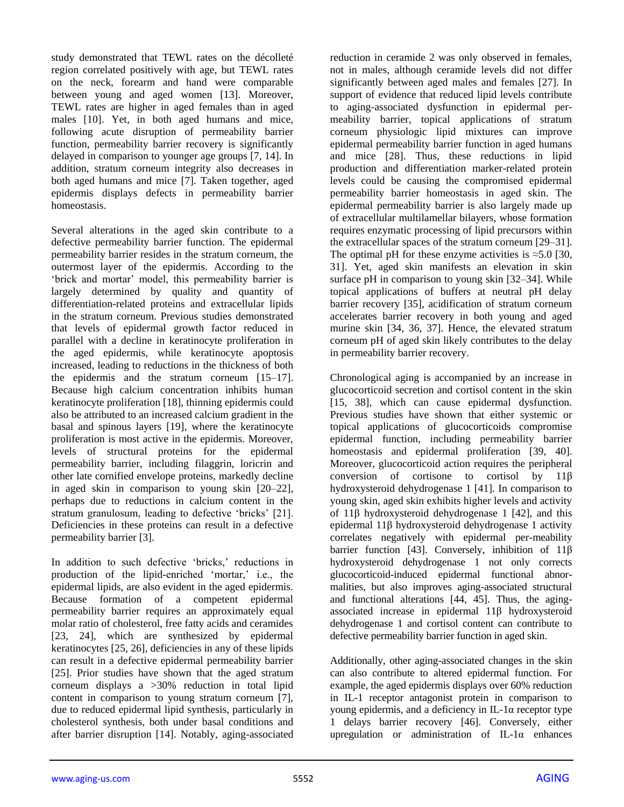study demonstrated that TEWL rates on the décolleté region correlated positively with age, but TEWL rates on the neck, forearm and hand were comparable between young and aged women [13]. Moreover, TEWL rates are higher in aged females than in aged males [10]. Yet, in both aged humans and mice, following acute disruption of permeability barrier function, permeability barrier recovery is significantly delayed in comparison to younger age groups [7, 14]. In addition, stratum corneum integrity also decreases in both aged humans and mice [7]. Taken together, aged epidermis displays defects in permeability barrier homeostasis.

Several alterations in the aged skin contribute to a defective permeability barrier function. The epidermal permeability barrier resides in the stratum corneum, the outermost layer of the epidermis. According to the 'brick and mortar' model, this permeability barrier is largely determined by quality and quantity of differentiation-related proteins and extracellular lipids in the stratum corneum. Previous studies demonstrated that levels of epidermal growth factor reduced in parallel with a decline in keratinocyte proliferation in the aged epidermis, while keratinocyte apoptosis increased, leading to reductions in the thickness of both the epidermis and the stratum corneum [15–17]. Because high calcium concentration inhibits human keratinocyte proliferation [18], thinning epidermis could also be attributed to an increased calcium gradient in the basal and spinous layers [19], where the keratinocyte proliferation is most active in the epidermis. Moreover, levels of structural proteins for the epidermal permeability barrier, including filaggrin, loricrin and other late cornified envelope proteins, markedly decline in aged skin in comparison to young skin [20–22], perhaps due to reductions in calcium content in the stratum granulosum, leading to defective 'bricks' [21]. Deficiencies in these proteins can result in a defective permeability barrier [3].

In addition to such defective 'bricks,' reductions in production of the lipid-enriched 'mortar,' i.e., the epidermal lipids, are also evident in the aged epidermis. Because formation of a competent epidermal permeability barrier requires an approximately equal molar ratio of cholesterol, free fatty acids and ceramides [23, 24], which are synthesized by epidermal keratinocytes [25, 26], deficiencies in any of these lipids can result in a defective epidermal permeability barrier [25]. Prior studies have shown that the aged stratum corneum displays a >30% reduction in total lipid content in comparison to young stratum corneum [7], due to reduced epidermal lipid synthesis, particularly in cholesterol synthesis, both under basal conditions and after barrier disruption [14]. Notably, aging-associated reduction in ceramide 2 was only observed in females, not in males, although ceramide levels did not differ significantly between aged males and females [27]. In support of evidence that reduced lipid levels contribute to aging-associated dysfunction in epidermal permeability barrier, topical applications of stratum corneum physiologic lipid mixtures can improve epidermal permeability barrier function in aged humans and mice [28]. Thus, these reductions in lipid production and differentiation marker-related protein levels could be causing the compromised epidermal permeability barrier homeostasis in aged skin. The epidermal permeability barrier is also largely made up of extracellular multilamellar bilayers, whose formation requires enzymatic processing of lipid precursors within the extracellular spaces of the stratum corneum [29–31]. The optimal pH for these enzyme activities is  $\approx$ 5.0 [30, 31]. Yet, aged skin manifests an elevation in skin surface pH in comparison to young skin [32–34]. While topical applications of buffers at neutral pH delay barrier recovery [35], acidification of stratum corneum accelerates barrier recovery in both young and aged murine skin [34, 36, 37]. Hence, the elevated stratum corneum pH of aged skin likely contributes to the delay in permeability barrier recovery.

Chronological aging is accompanied by an increase in glucocorticoid secretion and cortisol content in the skin [15, 38], which can cause epidermal dysfunction. Previous studies have shown that either systemic or topical applications of glucocorticoids compromise epidermal function, including permeability barrier homeostasis and epidermal proliferation [39, 40]. Moreover, glucocorticoid action requires the peripheral conversion of cortisone to cortisol by 11β hydroxysteroid dehydrogenase 1 [41]. In comparison to young skin, aged skin exhibits higher levels and activity of 11β hydroxysteroid dehydrogenase 1 [42], and this epidermal 11β hydroxysteroid dehydrogenase 1 activity correlates negatively with epidermal per-meability barrier function [43]. Conversely, inhibition of 11β hydroxysteroid dehydrogenase 1 not only corrects glucocorticoid-induced epidermal functional abnormalities, but also improves aging-associated structural and functional alterations [44, 45]. Thus, the agingassociated increase in epidermal 11β hydroxysteroid dehydrogenase 1 and cortisol content can contribute to defective permeability barrier function in aged skin.

Additionally, other aging-associated changes in the skin can also contribute to altered epidermal function. For example, the aged epidermis displays over 60% reduction in IL-1 receptor antagonist protein in comparison to young epidermis, and a deficiency in IL-1α receptor type 1 delays barrier recovery [46]. Conversely, either upregulation or administration of IL-1α enhances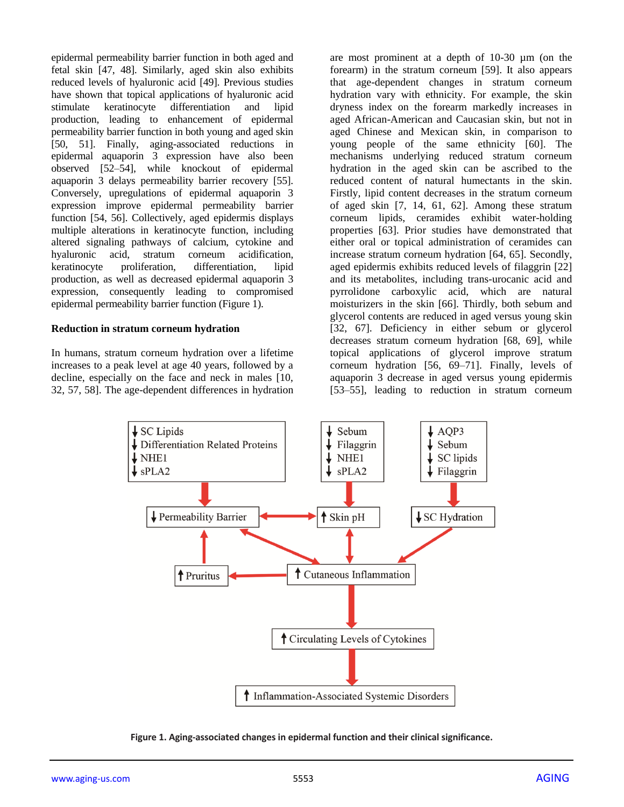epidermal permeability barrier function in both aged and fetal skin [47, 48]. Similarly, aged skin also exhibits reduced levels of hyaluronic acid [49]. Previous studies have shown that topical applications of hyaluronic acid stimulate keratinocyte differentiation and lipid production, leading to enhancement of epidermal permeability barrier function in both young and aged skin [50, 51]. Finally, aging-associated reductions in epidermal aquaporin 3 expression have also been observed [52–54], while knockout of epidermal aquaporin 3 delays permeability barrier recovery [55]. Conversely, upregulations of epidermal aquaporin 3 expression improve epidermal permeability barrier function [54, 56]. Collectively, aged epidermis displays multiple alterations in keratinocyte function, including altered signaling pathways of calcium, cytokine and hyaluronic acid, stratum corneum acidification, keratinocyte proliferation, differentiation, lipid production, as well as decreased epidermal aquaporin 3 expression, consequently leading to compromised epidermal permeability barrier function (Figure 1).

#### **Reduction in stratum corneum hydration**

In humans, stratum corneum hydration over a lifetime increases to a peak level at age 40 years, followed by a decline, especially on the face and neck in males [10, 32, 57, 58]. The age-dependent differences in hydration are most prominent at a depth of 10-30 µm (on the forearm) in the stratum corneum [59]. It also appears that age-dependent changes in stratum corneum hydration vary with ethnicity. For example, the skin dryness index on the forearm markedly increases in aged African-American and Caucasian skin, but not in aged Chinese and Mexican skin, in comparison to young people of the same ethnicity [60]. The mechanisms underlying reduced stratum corneum hydration in the aged skin can be ascribed to the reduced content of natural humectants in the skin. Firstly, lipid content decreases in the stratum corneum of aged skin [7, 14, 61, 62]. Among these stratum corneum lipids, ceramides exhibit water-holding properties [63]. Prior studies have demonstrated that either oral or topical administration of ceramides can increase stratum corneum hydration [64, 65]. Secondly, aged epidermis exhibits reduced levels of filaggrin [22] and its metabolites, including trans-urocanic acid and pyrrolidone carboxylic acid, which are natural moisturizers in the skin [66]. Thirdly, both sebum and glycerol contents are reduced in aged versus young skin [32, 67]. Deficiency in either sebum or glycerol decreases stratum corneum hydration [68, 69], while topical applications of glycerol improve stratum corneum hydration [56, 69–71]. Finally, levels of aquaporin 3 decrease in aged versus young epidermis [53–55], leading to reduction in stratum corneum



**Figure 1. Aging-associated changes in epidermal function and their clinical significance.**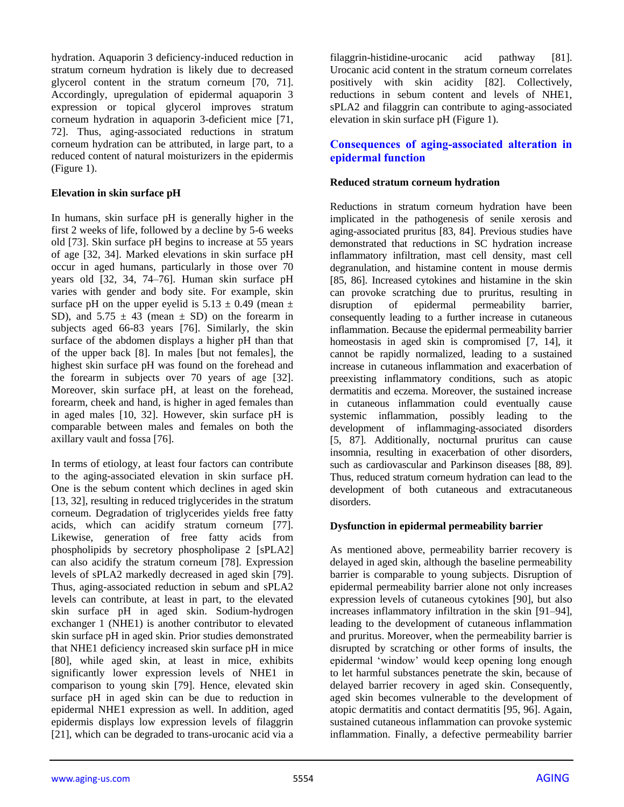hydration. Aquaporin 3 deficiency-induced reduction in stratum corneum hydration is likely due to decreased glycerol content in the stratum corneum [70, 71]. Accordingly, upregulation of epidermal aquaporin 3 expression or topical glycerol improves stratum corneum hydration in aquaporin 3-deficient mice [71, 72]. Thus, aging-associated reductions in stratum corneum hydration can be attributed, in large part, to a reduced content of natural moisturizers in the epidermis (Figure 1).

#### **Elevation in skin surface pH**

In humans, skin surface pH is generally higher in the first 2 weeks of life, followed by a decline by 5-6 weeks old [73]. Skin surface pH begins to increase at 55 years of age [32, 34]. Marked elevations in skin surface pH occur in aged humans, particularly in those over 70 years old [32, 34, 74–76]. Human skin surface pH varies with gender and body site. For example, skin surface pH on the upper eyelid is  $5.13 \pm 0.49$  (mean  $\pm$ SD), and  $5.75 \pm 43$  (mean  $\pm$  SD) on the forearm in subjects aged 66-83 years [76]. Similarly, the skin surface of the abdomen displays a higher pH than that of the upper back [8]. In males [but not females], the highest skin surface pH was found on the forehead and the forearm in subjects over 70 years of age [32]. Moreover, skin surface pH, at least on the forehead, forearm, cheek and hand, is higher in aged females than in aged males [10, 32]. However, skin surface pH is comparable between males and females on both the axillary vault and fossa [76].

In terms of etiology, at least four factors can contribute to the aging-associated elevation in skin surface pH. One is the sebum content which declines in aged skin [13, 32], resulting in reduced triglycerides in the stratum corneum. Degradation of triglycerides yields free fatty acids, which can acidify stratum corneum [77]. Likewise, generation of free fatty acids from phospholipids by secretory phospholipase 2 [sPLA2] can also acidify the stratum corneum [78]. Expression levels of sPLA2 markedly decreased in aged skin [79]. Thus, aging-associated reduction in sebum and sPLA2 levels can contribute, at least in part, to the elevated skin surface pH in aged skin. Sodium-hydrogen exchanger 1 (NHE1) is another contributor to elevated skin surface pH in aged skin. Prior studies demonstrated that NHE1 deficiency increased skin surface pH in mice [80], while aged skin, at least in mice, exhibits significantly lower expression levels of NHE1 in comparison to young skin [79]. Hence, elevated skin surface pH in aged skin can be due to reduction in epidermal NHE1 expression as well. In addition, aged epidermis displays low expression levels of filaggrin [21], which can be degraded to trans-urocanic acid via a

filaggrin-histidine-urocanic acid pathway [81]. Urocanic acid content in the stratum corneum correlates positively with skin acidity [82]. Collectively, reductions in sebum content and levels of NHE1, sPLA2 and filaggrin can contribute to aging-associated elevation in skin surface pH (Figure 1).

## **Consequences of aging-associated alteration in epidermal function**

### **Reduced stratum corneum hydration**

Reductions in stratum corneum hydration have been implicated in the pathogenesis of senile xerosis and aging-associated pruritus [83, 84]. Previous studies have demonstrated that reductions in SC hydration increase inflammatory infiltration, mast cell density, mast cell degranulation, and histamine content in mouse dermis [85, 86]. Increased cytokines and histamine in the skin can provoke scratching due to pruritus, resulting in disruption of epidermal permeability barrier, consequently leading to a further increase in cutaneous inflammation. Because the epidermal permeability barrier homeostasis in aged skin is compromised [7, 14], it cannot be rapidly normalized, leading to a sustained increase in cutaneous inflammation and exacerbation of preexisting inflammatory conditions, such as atopic dermatitis and eczema. Moreover, the sustained increase in cutaneous inflammation could eventually cause systemic inflammation, possibly leading to the development of inflammaging-associated disorders [5, 87]. Additionally, nocturnal pruritus can cause insomnia, resulting in exacerbation of other disorders, such as cardiovascular and Parkinson diseases [88, 89]. Thus, reduced stratum corneum hydration can lead to the development of both cutaneous and extracutaneous disorders.

## **Dysfunction in epidermal permeability barrier**

As mentioned above, permeability barrier recovery is delayed in aged skin, although the baseline permeability barrier is comparable to young subjects. Disruption of epidermal permeability barrier alone not only increases expression levels of cutaneous cytokines [90], but also increases inflammatory infiltration in the skin [91–94], leading to the development of cutaneous inflammation and pruritus. Moreover, when the permeability barrier is disrupted by scratching or other forms of insults, the epidermal 'window' would keep opening long enough to let harmful substances penetrate the skin, because of delayed barrier recovery in aged skin. Consequently, aged skin becomes vulnerable to the development of atopic dermatitis and contact dermatitis [95, 96]. Again, sustained cutaneous inflammation can provoke systemic inflammation. Finally, a defective permeability barrier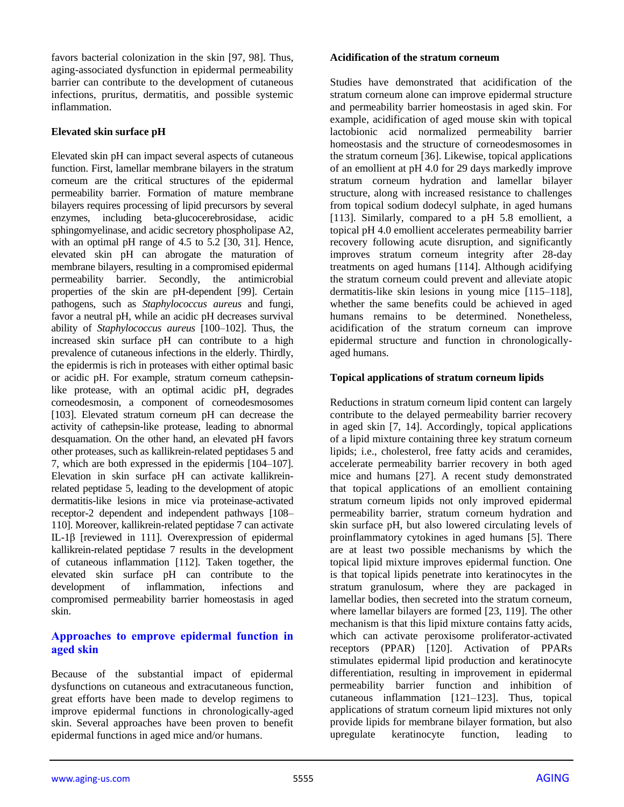favors bacterial colonization in the skin [97, 98]. Thus, aging-associated dysfunction in epidermal permeability barrier can contribute to the development of cutaneous infections, pruritus, dermatitis, and possible systemic inflammation.

#### **Elevated skin surface pH**

Elevated skin pH can impact several aspects of cutaneous function. First, lamellar membrane bilayers in the stratum corneum are the critical structures of the epidermal permeability barrier. Formation of mature membrane bilayers requires processing of lipid precursors by several enzymes, including beta-glucocerebrosidase, acidic sphingomyelinase, and acidic secretory phospholipase A2, with an optimal pH range of 4.5 to 5.2 [30, 31]. Hence, elevated skin pH can abrogate the maturation of membrane bilayers, resulting in a compromised epidermal permeability barrier. Secondly, the antimicrobial properties of the skin are pH-dependent [99]. Certain pathogens, such as *Staphylococcus aureus* and fungi, favor a neutral pH, while an acidic pH decreases survival ability of *Staphylococcus aureus* [100–102]. Thus, the increased skin surface pH can contribute to a high prevalence of cutaneous infections in the elderly. Thirdly, the epidermis is rich in proteases with either optimal basic or acidic pH. For example, stratum corneum cathepsinlike protease, with an optimal acidic pH, degrades corneodesmosin, a component of corneodesmosomes [103]. Elevated stratum corneum pH can decrease the activity of cathepsin-like protease, leading to abnormal desquamation. On the other hand, an elevated pH favors other proteases, such as kallikrein-related peptidases 5 and 7, which are both expressed in the epidermis [104–107]. Elevation in skin surface pH can activate kallikreinrelated peptidase 5, leading to the development of atopic dermatitis-like lesions in mice via proteinase-activated receptor-2 dependent and independent pathways [108– 110]. Moreover, kallikrein-related peptidase 7 can activate IL-1β [reviewed in 111]. Overexpression of epidermal kallikrein-related peptidase 7 results in the development of cutaneous inflammation [112]. Taken together, the elevated skin surface pH can contribute to the development of inflammation, infections and compromised permeability barrier homeostasis in aged skin.

#### **Approaches to emprove epidermal function in aged skin**

Because of the substantial impact of epidermal dysfunctions on cutaneous and extracutaneous function, great efforts have been made to develop regimens to improve epidermal functions in chronologically-aged skin. Several approaches have been proven to benefit epidermal functions in aged mice and/or humans.

#### **Acidification of the stratum corneum**

Studies have demonstrated that acidification of the stratum corneum alone can improve epidermal structure and permeability barrier homeostasis in aged skin. For example, acidification of aged mouse skin with topical lactobionic acid normalized permeability barrier homeostasis and the structure of corneodesmosomes in the stratum corneum [36]. Likewise, topical applications of an emollient at pH 4.0 for 29 days markedly improve stratum corneum hydration and lamellar bilayer structure, along with increased resistance to challenges from topical sodium dodecyl sulphate, in aged humans [113]. Similarly, compared to a pH 5.8 emollient, a topical pH 4.0 emollient accelerates permeability barrier recovery following acute disruption, and significantly improves stratum corneum integrity after 28-day treatments on aged humans [114]. Although acidifying the stratum corneum could prevent and alleviate atopic dermatitis-like skin lesions in young mice [115–118], whether the same benefits could be achieved in aged humans remains to be determined. Nonetheless, acidification of the stratum corneum can improve epidermal structure and function in chronologicallyaged humans.

#### **Topical applications of stratum corneum lipids**

Reductions in stratum corneum lipid content can largely contribute to the delayed permeability barrier recovery in aged skin [7, 14]. Accordingly, topical applications of a lipid mixture containing three key stratum corneum lipids; i.e., cholesterol, free fatty acids and ceramides, accelerate permeability barrier recovery in both aged mice and humans [27]. A recent study demonstrated that topical applications of an emollient containing stratum corneum lipids not only improved epidermal permeability barrier, stratum corneum hydration and skin surface pH, but also lowered circulating levels of proinflammatory cytokines in aged humans [5]. There are at least two possible mechanisms by which the topical lipid mixture improves epidermal function. One is that topical lipids penetrate into keratinocytes in the stratum granulosum, where they are packaged in lamellar bodies, then secreted into the stratum corneum, where lamellar bilayers are formed [23, 119]. The other mechanism is that this lipid mixture contains fatty acids, which can activate peroxisome proliferator-activated receptors (PPAR) [120]. Activation of PPARs stimulates epidermal lipid production and keratinocyte differentiation, resulting in improvement in epidermal permeability barrier function and inhibition of cutaneous inflammation [121–123]. Thus, topical applications of stratum corneum lipid mixtures not only provide lipids for membrane bilayer formation, but also upregulate keratinocyte function, leading to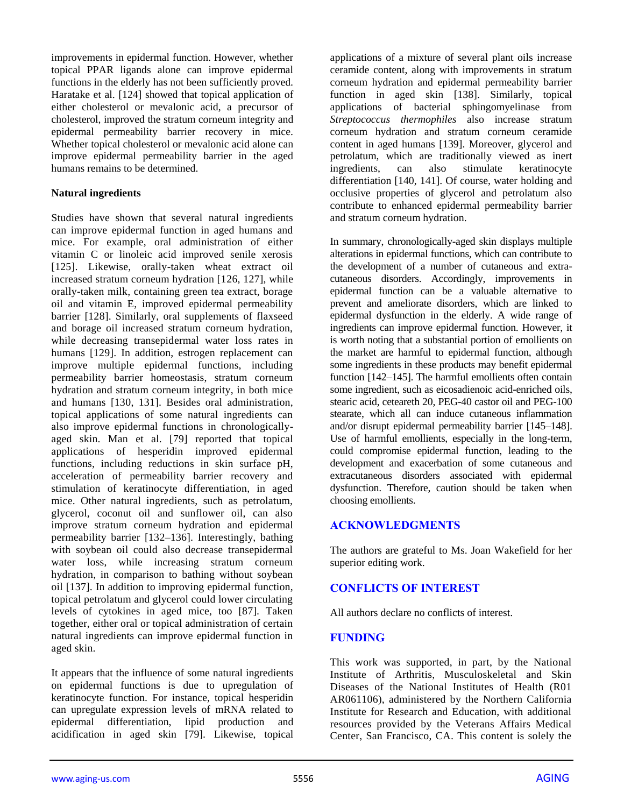improvements in epidermal function. However, whether topical PPAR ligands alone can improve epidermal functions in the elderly has not been sufficiently proved. Haratake et al. [124] showed that topical application of either cholesterol or mevalonic acid, a precursor of cholesterol, improved the stratum corneum integrity and epidermal permeability barrier recovery in mice. Whether topical cholesterol or mevalonic acid alone can improve epidermal permeability barrier in the aged humans remains to be determined.

#### **Natural ingredients**

Studies have shown that several natural ingredients can improve epidermal function in aged humans and mice. For example, oral administration of either vitamin C or linoleic acid improved senile xerosis [125]. Likewise, orally-taken wheat extract oil increased stratum corneum hydration [126, 127], while orally-taken milk, containing green tea extract, borage oil and vitamin E, improved epidermal permeability barrier [128]. Similarly, oral supplements of flaxseed and borage oil increased stratum corneum hydration, while decreasing transepidermal water loss rates in humans [129]. In addition, estrogen replacement can improve multiple epidermal functions, including permeability barrier homeostasis, stratum corneum hydration and stratum corneum integrity, in both mice and humans [130, 131]. Besides oral administration, topical applications of some natural ingredients can also improve epidermal functions in chronologicallyaged skin. Man et al. [79] reported that topical applications of hesperidin improved epidermal functions, including reductions in skin surface pH, acceleration of permeability barrier recovery and stimulation of keratinocyte differentiation, in aged mice. Other natural ingredients, such as petrolatum, glycerol, coconut oil and sunflower oil, can also improve stratum corneum hydration and epidermal permeability barrier [132–136]. Interestingly, bathing with soybean oil could also decrease transepidermal water loss, while increasing stratum corneum hydration, in comparison to bathing without soybean oil [137]. In addition to improving epidermal function, topical petrolatum and glycerol could lower circulating levels of cytokines in aged mice, too [87]. Taken together, either oral or topical administration of certain natural ingredients can improve epidermal function in aged skin.

It appears that the influence of some natural ingredients on epidermal functions is due to upregulation of keratinocyte function. For instance, topical hesperidin can upregulate expression levels of mRNA related to epidermal differentiation, lipid production and acidification in aged skin [79]. Likewise, topical

applications of a mixture of several plant oils increase ceramide content, along with improvements in stratum corneum hydration and epidermal permeability barrier function in aged skin [138]. Similarly, topical applications of bacterial sphingomyelinase from *Streptococcus thermophiles* also increase stratum corneum hydration and stratum corneum ceramide content in aged humans [139]. Moreover, glycerol and petrolatum, which are traditionally viewed as inert ingredients, can also stimulate keratinocyte differentiation [140, 141]. Of course, water holding and occlusive properties of glycerol and petrolatum also contribute to enhanced epidermal permeability barrier and stratum corneum hydration.

In summary, chronologically-aged skin displays multiple alterations in epidermal functions, which can contribute to the development of a number of cutaneous and extracutaneous disorders. Accordingly, improvements in epidermal function can be a valuable alternative to prevent and ameliorate disorders, which are linked to epidermal dysfunction in the elderly. A wide range of ingredients can improve epidermal function. However, it is worth noting that a substantial portion of emollients on the market are harmful to epidermal function, although some ingredients in these products may benefit epidermal function [142–145]. The harmful emollients often contain some ingredient, such as eicosadienoic acid-enriched oils, stearic acid, ceteareth 20, PEG-40 castor oil and PEG-100 stearate, which all can induce cutaneous inflammation and/or disrupt epidermal permeability barrier [145–148]. Use of harmful emollients, especially in the long-term, could compromise epidermal function, leading to the development and exacerbation of some cutaneous and extracutaneous disorders associated with epidermal dysfunction. Therefore, caution should be taken when choosing emollients.

# **ACKNOWLEDGMENTS**

The authors are grateful to Ms. Joan Wakefield for her superior editing work.

# **CONFLICTS OF INTEREST**

All authors declare no conflicts of interest.

## **FUNDING**

This work was supported, in part, by the National Institute of Arthritis, Musculoskeletal and Skin Diseases of the National Institutes of Health (R01 AR061106), administered by the Northern California Institute for Research and Education, with additional resources provided by the Veterans Affairs Medical Center, San Francisco, CA. This content is solely the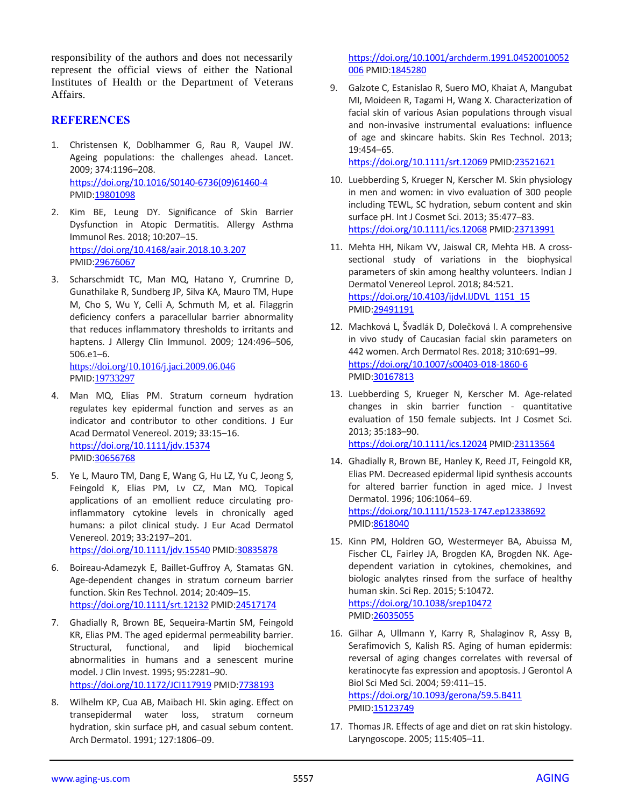responsibility of the authors and does not necessarily represent the official views of either the National Institutes of Health or the Department of Veterans Affairs.

### **REFERENCES**

- 1. Christensen K, Doblhammer G, Rau R, Vaupel JW. Ageing populations: the challenges ahead. Lancet. 2009; 374:1196–208. [https://doi.org/10.1016/S0140-6736\(09\)61460-4](https://doi.org/10.1016/S0140-6736%2809%2961460-4) PMID[:19801098](https://www.ncbi.nlm.nih.gov/pubmed/19801098)
- 2. Kim BE, Leung DY. Significance of Skin Barrier Dysfunction in Atopic Dermatitis. Allergy Asthma Immunol Res. 2018; 10:207–15. <https://doi.org/10.4168/aair.2018.10.3.207> PMID[:29676067](https://www.ncbi.nlm.nih.gov/pubmed/29676067)
- 3. Scharschmidt TC, Man MQ, Hatano Y, Crumrine D, Gunathilake R, Sundberg JP, Silva KA, Mauro TM, Hupe M, Cho S, Wu Y, Celli A, Schmuth M, et al. Filaggrin deficiency confers a paracellular barrier abnormality that reduces inflammatory thresholds to irritants and haptens. J Allergy Clin Immunol. 2009; 124:496–506, 506.e1–6.

<https://doi.org/10.1016/j.jaci.2009.06.046> PMID:[19733297](https://www.ncbi.nlm.nih.gov/pubmed/19733297)

- 4. Man MQ, Elias PM. Stratum corneum hydration regulates key epidermal function and serves as an indicator and contributor to other conditions. J Eur Acad Dermatol Venereol. 2019; 33:15–16. <https://doi.org/10.1111/jdv.15374> PMID[:30656768](https://www.ncbi.nlm.nih.gov/pubmed/30656768)
- 5. Ye L, Mauro TM, Dang E, Wang G, Hu LZ, Yu C, Jeong S, Feingold K, Elias PM, Lv CZ, Man MQ. Topical applications of an emollient reduce circulating proinflammatory cytokine levels in chronically aged humans: a pilot clinical study. J Eur Acad Dermatol Venereol. 2019; 33:2197–201. <https://doi.org/10.1111/jdv.15540> PMID[:30835878](https://www.ncbi.nlm.nih.gov/pubmed/30835878)
- 6. Boireau-Adamezyk E, Baillet-Guffroy A, Stamatas GN. Age-dependent changes in stratum corneum barrier function. Skin Res Technol. 2014; 20:409–15. <https://doi.org/10.1111/srt.12132> PMID[:24517174](https://www.ncbi.nlm.nih.gov/pubmed/24517174)
- 7. Ghadially R, Brown BE, Sequeira-Martin SM, Feingold KR, Elias PM. The aged epidermal permeability barrier. Structural, functional, and lipid biochemical abnormalities in humans and a senescent murine model. J Clin Invest. 1995; 95:2281–90. <https://doi.org/10.1172/JCI117919> PMID[:7738193](https://www.ncbi.nlm.nih.gov/pubmed/7738193)
- 8. Wilhelm KP, Cua AB, Maibach HI. Skin aging. Effect on transepidermal water loss, stratum corneum hydration, skin surface pH, and casual sebum content. Arch Dermatol. 1991; 127:1806–09.

[https://doi.org/10.1001/archderm.1991.04520010052](https://doi.org/10.1001/archderm.1991.04520010052006) [006](https://doi.org/10.1001/archderm.1991.04520010052006) PMI[D:1845280](https://www.ncbi.nlm.nih.gov/pubmed/1845280)

9. Galzote C, Estanislao R, Suero MO, Khaiat A, Mangubat MI, Moideen R, Tagami H, Wang X. Characterization of facial skin of various Asian populations through visual and non-invasive instrumental evaluations: influence of age and skincare habits. Skin Res Technol. 2013; 19:454–65.

<https://doi.org/10.1111/srt.12069> PMID[:23521621](https://www.ncbi.nlm.nih.gov/pubmed/23521621)

- 10. Luebberding S, Krueger N, Kerscher M. Skin physiology in men and women: in vivo evaluation of 300 people including TEWL, SC hydration, sebum content and skin surface pH. Int J Cosmet Sci. 2013; 35:477–83. <https://doi.org/10.1111/ics.12068> PMI[D:23713991](https://www.ncbi.nlm.nih.gov/pubmed/23713991)
- 11. Mehta HH, Nikam VV, Jaiswal CR, Mehta HB. A crosssectional study of variations in the biophysical parameters of skin among healthy volunteers. Indian J Dermatol Venereol Leprol. 2018; 84:521. [https://doi.org/10.4103/ijdvl.IJDVL\\_1151\\_15](https://doi.org/10.4103/ijdvl.IJDVL_1151_15) PMI[D:29491191](https://www.ncbi.nlm.nih.gov/pubmed/29491191)
- 12. Machková L, Švadlák D, Dolečková I. A comprehensive in vivo study of Caucasian facial skin parameters on 442 women. Arch Dermatol Res. 2018; 310:691–99. <https://doi.org/10.1007/s00403-018-1860-6> PMI[D:30167813](https://www.ncbi.nlm.nih.gov/pubmed/30167813)
- 13. Luebberding S, Krueger N, Kerscher M. Age-related changes in skin barrier function - quantitative evaluation of 150 female subjects. Int J Cosmet Sci. 2013; 35:183–90. <https://doi.org/10.1111/ics.12024> PMI[D:23113564](https://www.ncbi.nlm.nih.gov/pubmed/23113564)
- 14. Ghadially R, Brown BE, Hanley K, Reed JT, Feingold KR, Elias PM. Decreased epidermal lipid synthesis accounts for altered barrier function in aged mice. J Invest Dermatol. 1996; 106:1064–69. <https://doi.org/10.1111/1523-1747.ep12338692> PMI[D:8618040](https://www.ncbi.nlm.nih.gov/pubmed/8618040)
- 15. Kinn PM, Holdren GO, Westermeyer BA, Abuissa M, Fischer CL, Fairley JA, Brogden KA, Brogden NK. Agedependent variation in cytokines, chemokines, and biologic analytes rinsed from the surface of healthy human skin. Sci Rep. 2015; 5:10472. <https://doi.org/10.1038/srep10472> PMI[D:26035055](https://www.ncbi.nlm.nih.gov/pubmed/26035055)
- 16. Gilhar A, Ullmann Y, Karry R, Shalaginov R, Assy B, Serafimovich S, Kalish RS. Aging of human epidermis: reversal of aging changes correlates with reversal of keratinocyte fas expression and apoptosis. J Gerontol A Biol Sci Med Sci. 2004; 59:411–15. <https://doi.org/10.1093/gerona/59.5.B411> PMI[D:15123749](https://www.ncbi.nlm.nih.gov/pubmed/15123749)
- 17. Thomas JR. Effects of age and diet on rat skin histology. Laryngoscope. 2005; 115:405–11.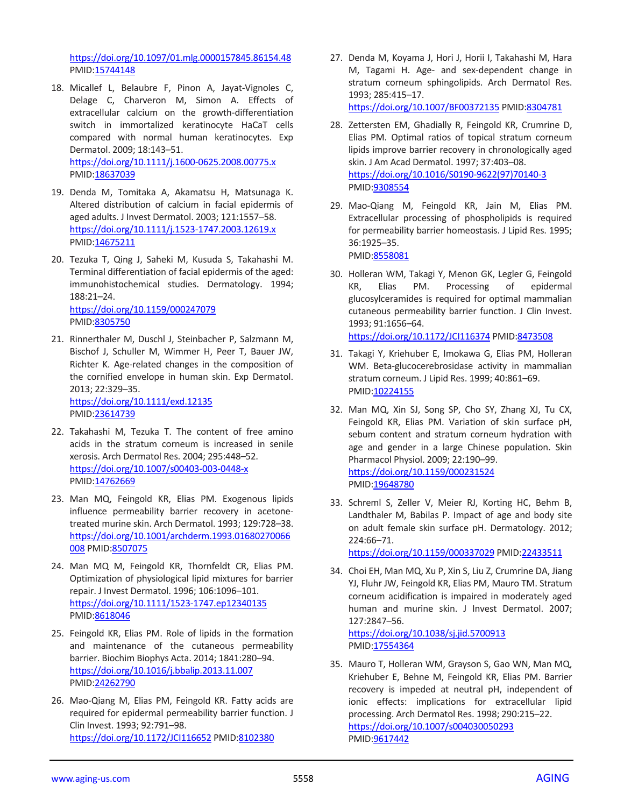<https://doi.org/10.1097/01.mlg.0000157845.86154.48> PMID[:15744148](https://www.ncbi.nlm.nih.gov/pubmed/15744148)

- 18. Micallef L, Belaubre F, Pinon A, Jayat-Vignoles C, Delage C, Charveron M, Simon A. Effects of extracellular calcium on the growth-differentiation switch in immortalized keratinocyte HaCaT cells compared with normal human keratinocytes. Exp Dermatol. 2009; 18:143–51. <https://doi.org/10.1111/j.1600-0625.2008.00775.x> PMID[:18637039](https://www.ncbi.nlm.nih.gov/pubmed/18637039)
- 19. Denda M, Tomitaka A, Akamatsu H, Matsunaga K. Altered distribution of calcium in facial epidermis of aged adults. J Invest Dermatol. 2003; 121:1557–58. <https://doi.org/10.1111/j.1523-1747.2003.12619.x> PMID[:14675211](https://www.ncbi.nlm.nih.gov/pubmed/14675211)
- 20. Tezuka T, Qing J, Saheki M, Kusuda S, Takahashi M. Terminal differentiation of facial epidermis of the aged: immunohistochemical studies. Dermatology. 1994; 188:21–24. <https://doi.org/10.1159/000247079> PMID[:8305750](https://www.ncbi.nlm.nih.gov/pubmed/8305750)
- 21. Rinnerthaler M, Duschl J, Steinbacher P, Salzmann M, Bischof J, Schuller M, Wimmer H, Peer T, Bauer JW, Richter K. Age-related changes in the composition of the cornified envelope in human skin. Exp Dermatol. 2013; 22:329–35. <https://doi.org/10.1111/exd.12135>

PMID[:23614739](https://www.ncbi.nlm.nih.gov/pubmed/23614739)

- 22. Takahashi M, Tezuka T. The content of free amino acids in the stratum corneum is increased in senile xerosis. Arch Dermatol Res. 2004; 295:448–52. <https://doi.org/10.1007/s00403-003-0448-x> PMID[:14762669](https://www.ncbi.nlm.nih.gov/pubmed/14762669)
- 23. Man MQ, Feingold KR, Elias PM. Exogenous lipids influence permeability barrier recovery in acetonetreated murine skin. Arch Dermatol. 1993; 129:728–38. [https://doi.org/10.1001/archderm.1993.01680270066](https://doi.org/10.1001/archderm.1993.01680270066008) [008](https://doi.org/10.1001/archderm.1993.01680270066008) PMID[:8507075](https://www.ncbi.nlm.nih.gov/pubmed/8507075)
- 24. Man MQ M, Feingold KR, Thornfeldt CR, Elias PM. Optimization of physiological lipid mixtures for barrier repair. J Invest Dermatol. 1996; 106:1096–101. <https://doi.org/10.1111/1523-1747.ep12340135> PMID[:8618046](https://www.ncbi.nlm.nih.gov/pubmed/8618046)
- 25. Feingold KR, Elias PM. Role of lipids in the formation and maintenance of the cutaneous permeability barrier. Biochim Biophys Acta. 2014; 1841:280–94. <https://doi.org/10.1016/j.bbalip.2013.11.007> PMID[:24262790](https://www.ncbi.nlm.nih.gov/pubmed/24262790)
- 26. Mao-Qiang M, Elias PM, Feingold KR. Fatty acids are required for epidermal permeability barrier function. J Clin Invest. 1993; 92:791–98. <https://doi.org/10.1172/JCI116652> PMID[:8102380](https://www.ncbi.nlm.nih.gov/pubmed/8102380)

27. Denda M, Koyama J, Hori J, Horii I, Takahashi M, Hara M, Tagami H. Age- and sex-dependent change in stratum corneum sphingolipids. Arch Dermatol Res. 1993; 285:415–17.

<https://doi.org/10.1007/BF00372135> PMID[:8304781](https://www.ncbi.nlm.nih.gov/pubmed/8304781)

- 28. Zettersten EM, Ghadially R, Feingold KR, Crumrine D, Elias PM. Optimal ratios of topical stratum corneum lipids improve barrier recovery in chronologically aged skin. J Am Acad Dermatol. 1997; 37:403–08. [https://doi.org/10.1016/S0190-9622\(97\)70140-3](https://doi.org/10.1016/S0190-9622%2897%2970140-3) PMI[D:9308554](https://www.ncbi.nlm.nih.gov/pubmed/9308554)
- 29. Mao-Qiang M, Feingold KR, Jain M, Elias PM. Extracellular processing of phospholipids is required for permeability barrier homeostasis. J Lipid Res. 1995; 36:1925–35.

PMI[D:8558081](https://www.ncbi.nlm.nih.gov/pubmed/8558081)

- 30. Holleran WM, Takagi Y, Menon GK, Legler G, Feingold KR, Elias PM. Processing of epidermal glucosylceramides is required for optimal mammalian cutaneous permeability barrier function. J Clin Invest. 1993; 91:1656–64. <https://doi.org/10.1172/JCI116374> PMID[:8473508](https://www.ncbi.nlm.nih.gov/pubmed/8473508)
- 31. Takagi Y, Kriehuber E, Imokawa G, Elias PM, Holleran WM. Beta-glucocerebrosidase activity in mammalian stratum corneum. J Lipid Res. 1999; 40:861–69. PMI[D:10224155](https://www.ncbi.nlm.nih.gov/pubmed/10224155)
- 32. Man MQ, Xin SJ, Song SP, Cho SY, Zhang XJ, Tu CX, Feingold KR, Elias PM. Variation of skin surface pH, sebum content and stratum corneum hydration with age and gender in a large Chinese population. Skin Pharmacol Physiol. 2009; 22:190–99. <https://doi.org/10.1159/000231524> PMI[D:19648780](https://www.ncbi.nlm.nih.gov/pubmed/19648780)
- 33. Schreml S, Zeller V, Meier RJ, Korting HC, Behm B, Landthaler M, Babilas P. Impact of age and body site on adult female skin surface pH. Dermatology. 2012; 224:66–71. <https://doi.org/10.1159/000337029> PMID[:22433511](https://www.ncbi.nlm.nih.gov/pubmed/22433511)
- 34. Choi EH, Man MQ, Xu P, Xin S, Liu Z, Crumrine DA, Jiang YJ, Fluhr JW, Feingold KR, Elias PM, Mauro TM. Stratum corneum acidification is impaired in moderately aged human and murine skin. J Invest Dermatol. 2007; 127:2847–56. <https://doi.org/10.1038/sj.jid.5700913>

PMI[D:17554364](https://www.ncbi.nlm.nih.gov/pubmed/17554364)

35. Mauro T, Holleran WM, Grayson S, Gao WN, Man MQ, Kriehuber E, Behne M, Feingold KR, Elias PM. Barrier recovery is impeded at neutral pH, independent of ionic effects: implications for extracellular lipid processing. Arch Dermatol Res. 1998; 290:215–22. <https://doi.org/10.1007/s004030050293> PMI[D:9617442](https://www.ncbi.nlm.nih.gov/pubmed/9617442)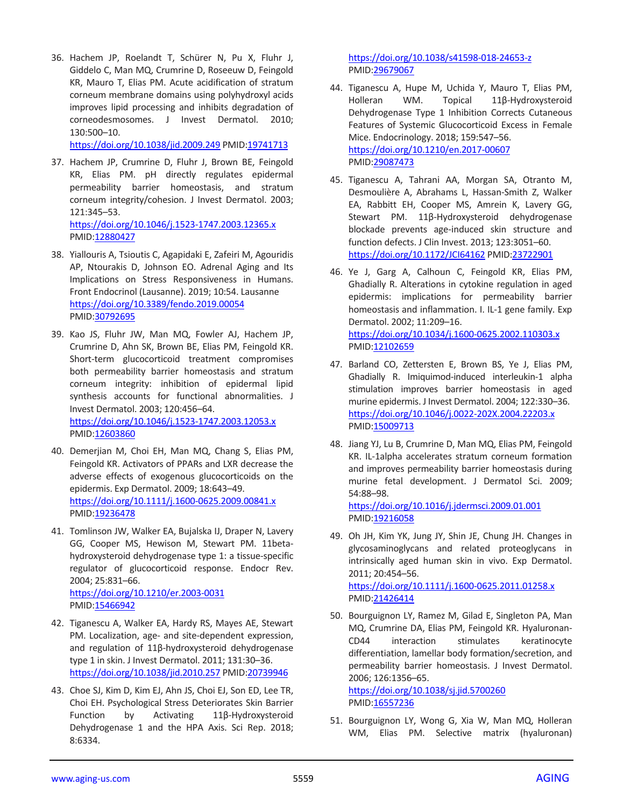36. Hachem JP, Roelandt T, Schürer N, Pu X, Fluhr J, Giddelo C, Man MQ, Crumrine D, Roseeuw D, Feingold KR, Mauro T, Elias PM. Acute acidification of stratum corneum membrane domains using polyhydroxyl acids improves lipid processing and inhibits degradation of corneodesmosomes. J Invest Dermatol. 2010; 130:500–10.

<https://doi.org/10.1038/jid.2009.249> PMID[:19741713](https://www.ncbi.nlm.nih.gov/pubmed/19741713)

- 37. Hachem JP, Crumrine D, Fluhr J, Brown BE, Feingold KR, Elias PM. pH directly regulates epidermal permeability barrier homeostasis, and stratum corneum integrity/cohesion. J Invest Dermatol. 2003; 121:345–53. <https://doi.org/10.1046/j.1523-1747.2003.12365.x> PMID[:12880427](https://www.ncbi.nlm.nih.gov/pubmed/12880427)
- 38. Yiallouris A, Tsioutis C, Agapidaki E, Zafeiri M, Agouridis AP, Ntourakis D, Johnson EO. Adrenal Aging and Its Implications on Stress Responsiveness in Humans. Front Endocrinol (Lausanne). 2019; 10:54. Lausanne <https://doi.org/10.3389/fendo.2019.00054> PMID[:30792695](https://www.ncbi.nlm.nih.gov/pubmed/30792695)
- 39. Kao JS, Fluhr JW, Man MQ, Fowler AJ, Hachem JP, Crumrine D, Ahn SK, Brown BE, Elias PM, Feingold KR. Short-term glucocorticoid treatment compromises both permeability barrier homeostasis and stratum corneum integrity: inhibition of epidermal lipid synthesis accounts for functional abnormalities. J Invest Dermatol. 2003; 120:456–64. <https://doi.org/10.1046/j.1523-1747.2003.12053.x> PMID[:12603860](https://www.ncbi.nlm.nih.gov/pubmed/12603860)
- 40. Demerjian M, Choi EH, Man MQ, Chang S, Elias PM, Feingold KR. Activators of PPARs and LXR decrease the adverse effects of exogenous glucocorticoids on the epidermis. Exp Dermatol. 2009; 18:643–49. <https://doi.org/10.1111/j.1600-0625.2009.00841.x> PMID[:19236478](https://www.ncbi.nlm.nih.gov/pubmed/19236478)
- 41. Tomlinson JW, Walker EA, Bujalska IJ, Draper N, Lavery GG, Cooper MS, Hewison M, Stewart PM. 11betahydroxysteroid dehydrogenase type 1: a tissue-specific regulator of glucocorticoid response. Endocr Rev. 2004; 25:831–66.

<https://doi.org/10.1210/er.2003-0031> PMID[:15466942](https://www.ncbi.nlm.nih.gov/pubmed/15466942)

- 42. Tiganescu A, Walker EA, Hardy RS, Mayes AE, Stewart PM. Localization, age- and site-dependent expression, and regulation of 11β-hydroxysteroid dehydrogenase type 1 in skin. J Invest Dermatol. 2011; 131:30–36. <https://doi.org/10.1038/jid.2010.257> PMID[:20739946](https://www.ncbi.nlm.nih.gov/pubmed/20739946)
- 43. Choe SJ, Kim D, Kim EJ, Ahn JS, Choi EJ, Son ED, Lee TR, Choi EH. Psychological Stress Deteriorates Skin Barrier Function by Activating 11β-Hydroxysteroid Dehydrogenase 1 and the HPA Axis. Sci Rep. 2018; 8:6334.

<https://doi.org/10.1038/s41598-018-24653-z> PMI[D:29679067](https://www.ncbi.nlm.nih.gov/pubmed/29679067)

- 44. Tiganescu A, Hupe M, Uchida Y, Mauro T, Elias PM, Holleran WM. Topical 11β-Hydroxysteroid Dehydrogenase Type 1 Inhibition Corrects Cutaneous Features of Systemic Glucocorticoid Excess in Female Mice. Endocrinology. 2018; 159:547–56. <https://doi.org/10.1210/en.2017-00607> PMI[D:29087473](https://www.ncbi.nlm.nih.gov/pubmed/29087473)
- 45. Tiganescu A, Tahrani AA, Morgan SA, Otranto M, Desmoulière A, Abrahams L, Hassan-Smith Z, Walker EA, Rabbitt EH, Cooper MS, Amrein K, Lavery GG, Stewart PM. 11β-Hydroxysteroid dehydrogenase blockade prevents age-induced skin structure and function defects. J Clin Invest. 2013; 123:3051–60. <https://doi.org/10.1172/JCI64162> PMID[:23722901](https://www.ncbi.nlm.nih.gov/pubmed/23722901)
- 46. Ye J, Garg A, Calhoun C, Feingold KR, Elias PM, Ghadially R. Alterations in cytokine regulation in aged epidermis: implications for permeability barrier homeostasis and inflammation. I. IL-1 gene family. Exp Dermatol. 2002; 11:209–16. <https://doi.org/10.1034/j.1600-0625.2002.110303.x> PMI[D:12102659](https://www.ncbi.nlm.nih.gov/pubmed/12102659)
- 47. Barland CO, Zettersten E, Brown BS, Ye J, Elias PM, Ghadially R. Imiquimod-induced interleukin-1 alpha stimulation improves barrier homeostasis in aged murine epidermis. J Invest Dermatol. 2004; 122:330–36. <https://doi.org/10.1046/j.0022-202X.2004.22203.x> PMI[D:15009713](https://www.ncbi.nlm.nih.gov/pubmed/15009713)
- 48. Jiang YJ, Lu B, Crumrine D, Man MQ, Elias PM, Feingold KR. IL-1alpha accelerates stratum corneum formation and improves permeability barrier homeostasis during murine fetal development. J Dermatol Sci. 2009; 54:88–98.

<https://doi.org/10.1016/j.jdermsci.2009.01.001> PMI[D:19216058](https://www.ncbi.nlm.nih.gov/pubmed/19216058)

- 49. Oh JH, Kim YK, Jung JY, Shin JE, Chung JH. Changes in glycosaminoglycans and related proteoglycans in intrinsically aged human skin in vivo. Exp Dermatol. 2011; 20:454–56. <https://doi.org/10.1111/j.1600-0625.2011.01258.x> PMI[D:21426414](https://www.ncbi.nlm.nih.gov/pubmed/21426414)
- 50. Bourguignon LY, Ramez M, Gilad E, Singleton PA, Man MQ, Crumrine DA, Elias PM, Feingold KR. Hyaluronan-CD44 interaction stimulates keratinocyte differentiation, lamellar body formation/secretion, and permeability barrier homeostasis. J Invest Dermatol. 2006; 126:1356–65.

<https://doi.org/10.1038/sj.jid.5700260> PMI[D:16557236](https://www.ncbi.nlm.nih.gov/pubmed/16557236)

51. Bourguignon LY, Wong G, Xia W, Man MQ, Holleran WM, Elias PM. Selective matrix (hyaluronan)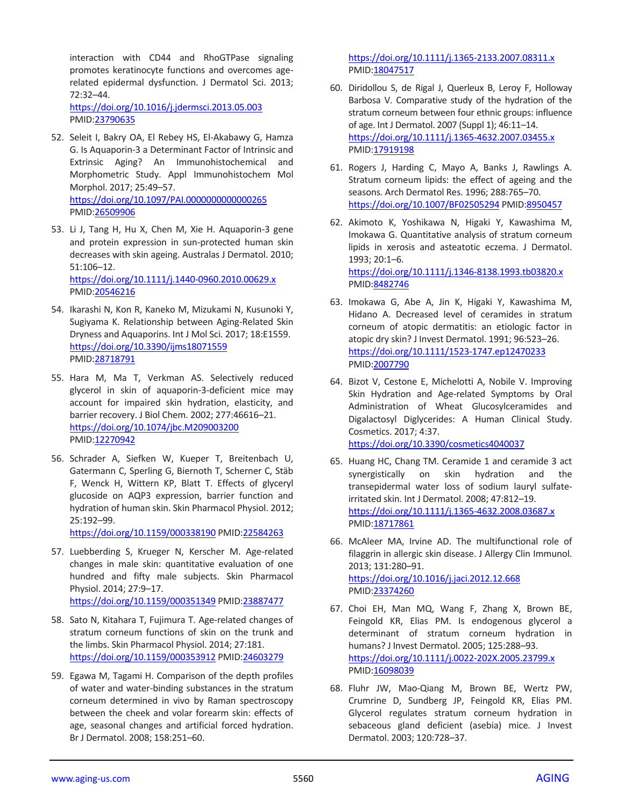interaction with CD44 and RhoGTPase signaling promotes keratinocyte functions and overcomes agerelated epidermal dysfunction. J Dermatol Sci. 2013; 72:32–44.

<https://doi.org/10.1016/j.jdermsci.2013.05.003> PMID[:23790635](https://www.ncbi.nlm.nih.gov/pubmed/23790635)

- 52. Seleit I, Bakry OA, El Rebey HS, El-Akabawy G, Hamza G. Is Aquaporin-3 a Determinant Factor of Intrinsic and Extrinsic Aging? An Immunohistochemical and Morphometric Study. Appl Immunohistochem Mol Morphol. 2017; 25:49–57. <https://doi.org/10.1097/PAI.0000000000000265> PMID[:26509906](https://www.ncbi.nlm.nih.gov/pubmed/26509906)
- 53. Li J, Tang H, Hu X, Chen M, Xie H. Aquaporin-3 gene and protein expression in sun-protected human skin decreases with skin ageing. Australas J Dermatol. 2010; 51:106–12. <https://doi.org/10.1111/j.1440-0960.2010.00629.x> PMID[:20546216](https://www.ncbi.nlm.nih.gov/pubmed/20546216)
- 54. Ikarashi N, Kon R, Kaneko M, Mizukami N, Kusunoki Y, Sugiyama K. Relationship between Aging-Related Skin Dryness and Aquaporins. Int J Mol Sci. 2017; 18:E1559. <https://doi.org/10.3390/ijms18071559> PMID[:28718791](https://www.ncbi.nlm.nih.gov/pubmed/28718791)
- 55. Hara M, Ma T, Verkman AS. Selectively reduced glycerol in skin of aquaporin-3-deficient mice may account for impaired skin hydration, elasticity, and barrier recovery. J Biol Chem. 2002; 277:46616–21. <https://doi.org/10.1074/jbc.M209003200> PMID[:12270942](https://www.ncbi.nlm.nih.gov/pubmed/12270942)
- 56. Schrader A, Siefken W, Kueper T, Breitenbach U, Gatermann C, Sperling G, Biernoth T, Scherner C, Stäb F, Wenck H, Wittern KP, Blatt T. Effects of glyceryl glucoside on AQP3 expression, barrier function and hydration of human skin. Skin Pharmacol Physiol. 2012; 25:192–99.

<https://doi.org/10.1159/000338190> PMID[:22584263](https://www.ncbi.nlm.nih.gov/pubmed/22584263)

- 57. Luebberding S, Krueger N, Kerscher M. Age-related changes in male skin: quantitative evaluation of one hundred and fifty male subjects. Skin Pharmacol Physiol. 2014; 27:9–17. <https://doi.org/10.1159/000351349> PMID[:23887477](https://www.ncbi.nlm.nih.gov/pubmed/23887477)
- 58. Sato N, Kitahara T, Fujimura T. Age-related changes of stratum corneum functions of skin on the trunk and the limbs. Skin Pharmacol Physiol. 2014; 27:181. <https://doi.org/10.1159/000353912> PMID[:24603279](https://www.ncbi.nlm.nih.gov/pubmed/24603279)
- 59. Egawa M, Tagami H. Comparison of the depth profiles of water and water-binding substances in the stratum corneum determined in vivo by Raman spectroscopy between the cheek and volar forearm skin: effects of age, seasonal changes and artificial forced hydration. Br J Dermatol. 2008; 158:251–60.

<https://doi.org/10.1111/j.1365-2133.2007.08311.x> PMI[D:18047517](https://www.ncbi.nlm.nih.gov/pubmed/18047517)

- 60. Diridollou S, de Rigal J, Querleux B, Leroy F, Holloway Barbosa V. Comparative study of the hydration of the stratum corneum between four ethnic groups: influence of age. Int J Dermatol. 2007 (Suppl 1); 46:11–14. <https://doi.org/10.1111/j.1365-4632.2007.03455.x> PMI[D:17919198](https://www.ncbi.nlm.nih.gov/pubmed/17919198)
- 61. Rogers J, Harding C, Mayo A, Banks J, Rawlings A. Stratum corneum lipids: the effect of ageing and the seasons. Arch Dermatol Res. 1996; 288:765–70. <https://doi.org/10.1007/BF02505294> PMID[:8950457](https://www.ncbi.nlm.nih.gov/pubmed/8950457)
- 62. Akimoto K, Yoshikawa N, Higaki Y, Kawashima M, Imokawa G. Quantitative analysis of stratum corneum lipids in xerosis and asteatotic eczema. J Dermatol. 1993; 20:1–6. <https://doi.org/10.1111/j.1346-8138.1993.tb03820.x> PMI[D:8482746](https://www.ncbi.nlm.nih.gov/pubmed/8482746)
- 63. Imokawa G, Abe A, Jin K, Higaki Y, Kawashima M, Hidano A. Decreased level of ceramides in stratum corneum of atopic dermatitis: an etiologic factor in atopic dry skin? J Invest Dermatol. 1991; 96:523–26. <https://doi.org/10.1111/1523-1747.ep12470233> PMI[D:2007790](https://www.ncbi.nlm.nih.gov/pubmed/2007790)
- 64. Bizot V, Cestone E, Michelotti A, Nobile V. Improving Skin Hydration and Age-related Symptoms by Oral Administration of Wheat Glucosylceramides and Digalactosyl Diglycerides: A Human Clinical Study. Cosmetics. 2017; 4:37. <https://doi.org/10.3390/cosmetics4040037>
- 65. Huang HC, Chang TM. Ceramide 1 and ceramide 3 act synergistically on skin hydration and the transepidermal water loss of sodium lauryl sulfateirritated skin. Int J Dermatol. 2008; 47:812–19. <https://doi.org/10.1111/j.1365-4632.2008.03687.x> PMI[D:18717861](https://www.ncbi.nlm.nih.gov/pubmed/18717861)
- 66. McAleer MA, Irvine AD. The multifunctional role of filaggrin in allergic skin disease. J Allergy Clin Immunol. 2013; 131:280–91. <https://doi.org/10.1016/j.jaci.2012.12.668> PMI[D:23374260](https://www.ncbi.nlm.nih.gov/pubmed/23374260)
- 67. Choi EH, Man MQ, Wang F, Zhang X, Brown BE, Feingold KR, Elias PM. Is endogenous glycerol a determinant of stratum corneum hydration in humans? J Invest Dermatol. 2005; 125:288–93. <https://doi.org/10.1111/j.0022-202X.2005.23799.x> PMI[D:16098039](https://www.ncbi.nlm.nih.gov/pubmed/16098039)
- 68. Fluhr JW, Mao-Qiang M, Brown BE, Wertz PW, Crumrine D, Sundberg JP, Feingold KR, Elias PM. Glycerol regulates stratum corneum hydration in sebaceous gland deficient (asebia) mice. J Invest Dermatol. 2003; 120:728–37.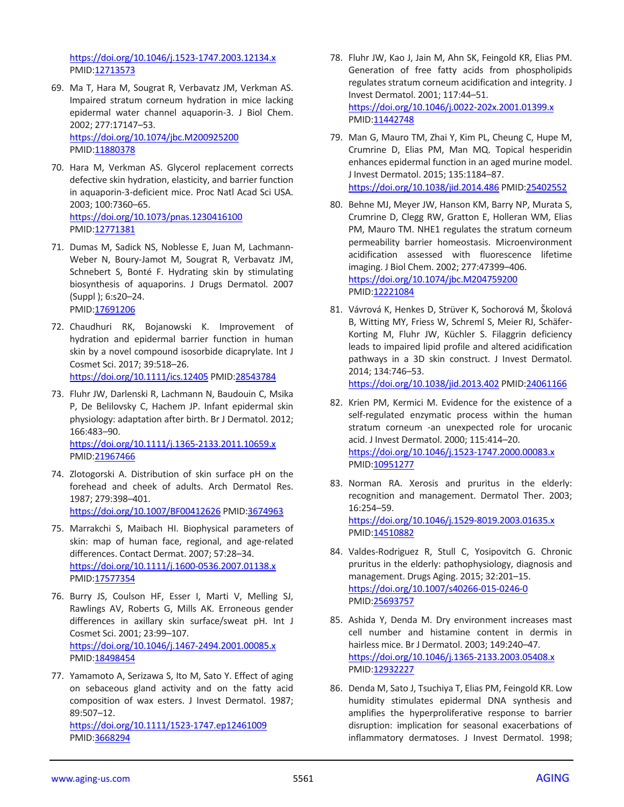<https://doi.org/10.1046/j.1523-1747.2003.12134.x> PMID[:12713573](https://www.ncbi.nlm.nih.gov/pubmed/12713573)

- 69. Ma T, Hara M, Sougrat R, Verbavatz JM, Verkman AS. Impaired stratum corneum hydration in mice lacking epidermal water channel aquaporin-3. J Biol Chem. 2002; 277:17147–53. <https://doi.org/10.1074/jbc.M200925200> PMID[:11880378](https://www.ncbi.nlm.nih.gov/pubmed/11880378)
- 70. Hara M, Verkman AS. Glycerol replacement corrects defective skin hydration, elasticity, and barrier function in aquaporin-3-deficient mice. Proc Natl Acad Sci USA. 2003; 100:7360–65. <https://doi.org/10.1073/pnas.1230416100> PMID[:12771381](https://www.ncbi.nlm.nih.gov/pubmed/12771381)
- 71. Dumas M, Sadick NS, Noblesse E, Juan M, Lachmann-Weber N, Boury-Jamot M, Sougrat R, Verbavatz JM, Schnebert S, Bonté F. Hydrating skin by stimulating biosynthesis of aquaporins. J Drugs Dermatol. 2007 (Suppl ); 6:s20–24. PMID[:17691206](https://www.ncbi.nlm.nih.gov/pubmed/17691206)
- 72. Chaudhuri RK, Bojanowski K. Improvement of hydration and epidermal barrier function in human skin by a novel compound isosorbide dicaprylate. Int J Cosmet Sci. 2017; 39:518–26. <https://doi.org/10.1111/ics.12405> PMID[:28543784](https://www.ncbi.nlm.nih.gov/pubmed/28543784)
- 73. Fluhr JW, Darlenski R, Lachmann N, Baudouin C, Msika P, De Belilovsky C, Hachem JP. Infant epidermal skin physiology: adaptation after birth. Br J Dermatol. 2012; 166:483–90. <https://doi.org/10.1111/j.1365-2133.2011.10659.x> PMID[:21967466](https://www.ncbi.nlm.nih.gov/pubmed/21967466)
- 74. Zlotogorski A. Distribution of skin surface pH on the forehead and cheek of adults. Arch Dermatol Res. 1987; 279:398–401. <https://doi.org/10.1007/BF00412626> PMID[:3674963](https://www.ncbi.nlm.nih.gov/pubmed/3674963)
- 75. Marrakchi S, Maibach HI. Biophysical parameters of skin: map of human face, regional, and age-related differences. Contact Dermat. 2007; 57:28–34. <https://doi.org/10.1111/j.1600-0536.2007.01138.x> PMID[:17577354](https://www.ncbi.nlm.nih.gov/pubmed/17577354)
- 76. Burry JS, Coulson HF, Esser I, Marti V, Melling SJ, Rawlings AV, Roberts G, Mills AK. Erroneous gender differences in axillary skin surface/sweat pH. Int J Cosmet Sci. 2001; 23:99–107. <https://doi.org/10.1046/j.1467-2494.2001.00085.x> PMID[:18498454](https://www.ncbi.nlm.nih.gov/pubmed/18498454)
- 77. Yamamoto A, Serizawa S, Ito M, Sato Y. Effect of aging on sebaceous gland activity and on the fatty acid composition of wax esters. J Invest Dermatol. 1987; 89:507–12. <https://doi.org/10.1111/1523-1747.ep12461009>

PMID[:3668294](https://www.ncbi.nlm.nih.gov/pubmed/3668294)

- 78. Fluhr JW, Kao J, Jain M, Ahn SK, Feingold KR, Elias PM. Generation of free fatty acids from phospholipids regulates stratum corneum acidification and integrity. J Invest Dermatol. 2001; 117:44–51. <https://doi.org/10.1046/j.0022-202x.2001.01399.x> PMI[D:11442748](https://www.ncbi.nlm.nih.gov/pubmed/11442748)
- 79. Man G, Mauro TM, Zhai Y, Kim PL, Cheung C, Hupe M, Crumrine D, Elias PM, Man MQ. Topical hesperidin enhances epidermal function in an aged murine model. J Invest Dermatol. 2015; 135:1184–87. <https://doi.org/10.1038/jid.2014.486> PMI[D:25402552](https://www.ncbi.nlm.nih.gov/pubmed/25402552)
- 80. Behne MJ, Meyer JW, Hanson KM, Barry NP, Murata S, Crumrine D, Clegg RW, Gratton E, Holleran WM, Elias PM, Mauro TM. NHE1 regulates the stratum corneum permeability barrier homeostasis. Microenvironment acidification assessed with fluorescence lifetime imaging. J Biol Chem. 2002; 277:47399–406. <https://doi.org/10.1074/jbc.M204759200> PMI[D:12221084](https://www.ncbi.nlm.nih.gov/pubmed/12221084)
- 81. Vávrová K, Henkes D, Strüver K, Sochorová M, Školová B, Witting MY, Friess W, Schreml S, Meier RJ, Schäfer-Korting M, Fluhr JW, Küchler S. Filaggrin deficiency leads to impaired lipid profile and altered acidification pathways in a 3D skin construct. J Invest Dermatol. 2014; 134:746–53.

<https://doi.org/10.1038/jid.2013.402> PMI[D:24061166](https://www.ncbi.nlm.nih.gov/pubmed/24061166)

- 82. Krien PM, Kermici M. Evidence for the existence of a self-regulated enzymatic process within the human stratum corneum -an unexpected role for urocanic acid. J Invest Dermatol. 2000; 115:414–20. <https://doi.org/10.1046/j.1523-1747.2000.00083.x> PMI[D:10951277](https://www.ncbi.nlm.nih.gov/pubmed/10951277)
- 83. Norman RA. Xerosis and pruritus in the elderly: recognition and management. Dermatol Ther. 2003; 16:254–59. <https://doi.org/10.1046/j.1529-8019.2003.01635.x> PMI[D:14510882](https://www.ncbi.nlm.nih.gov/pubmed/14510882)
- 84. Valdes-Rodriguez R, Stull C, Yosipovitch G. Chronic pruritus in the elderly: pathophysiology, diagnosis and management. Drugs Aging. 2015; 32:201–15. <https://doi.org/10.1007/s40266-015-0246-0> PMI[D:25693757](https://www.ncbi.nlm.nih.gov/pubmed/25693757)
- 85. Ashida Y, Denda M. Dry environment increases mast cell number and histamine content in dermis in hairless mice. Br J Dermatol. 2003; 149:240–47. <https://doi.org/10.1046/j.1365-2133.2003.05408.x> PMI[D:12932227](https://www.ncbi.nlm.nih.gov/pubmed/12932227)
- 86. Denda M, Sato J, Tsuchiya T, Elias PM, Feingold KR. Low humidity stimulates epidermal DNA synthesis and amplifies the hyperproliferative response to barrier disruption: implication for seasonal exacerbations of inflammatory dermatoses. J Invest Dermatol. 1998;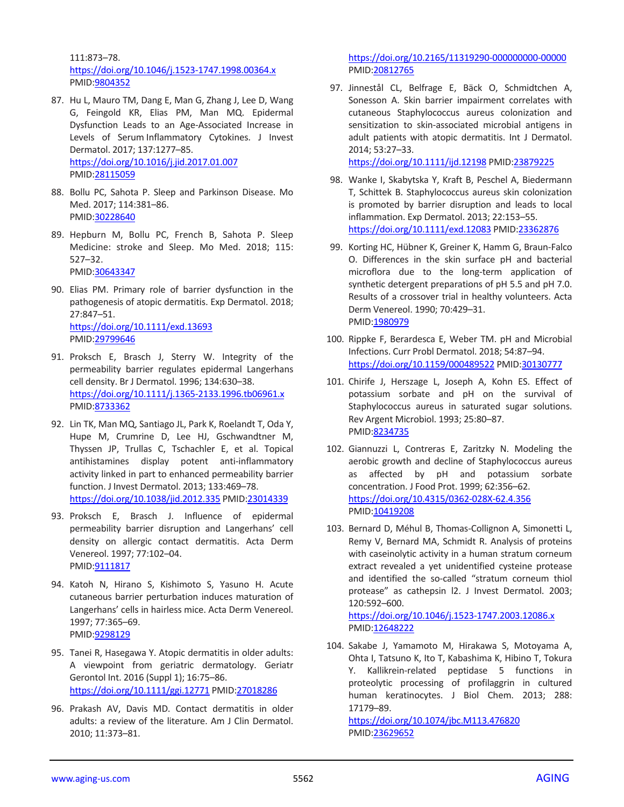111:873–78. <https://doi.org/10.1046/j.1523-1747.1998.00364.x> PMID[:9804352](https://www.ncbi.nlm.nih.gov/pubmed/9804352)

- 87. Hu L, Mauro TM, Dang E, Man G, Zhang J, Lee D, Wang G, Feingold KR, Elias PM, Man MQ. Epidermal Dysfunction Leads to an Age-Associated Increase in Levels of Serum Inflammatory Cytokines. J Invest Dermatol. 2017; 137:1277–85. <https://doi.org/10.1016/j.jid.2017.01.007> PMID[:28115059](https://www.ncbi.nlm.nih.gov/pubmed/28115059)
- 88. Bollu PC, Sahota P. Sleep and Parkinson Disease. Mo Med. 2017; 114:381–86. PMID[:30228640](https://www.ncbi.nlm.nih.gov/pubmed/30228640)
- 89. Hepburn M, Bollu PC, French B, Sahota P. Sleep Medicine: stroke and Sleep. Mo Med. 2018; 115: 527–32. PMID[:30643347](https://www.ncbi.nlm.nih.gov/pubmed/30643347)
- 90. Elias PM. Primary role of barrier dysfunction in the pathogenesis of atopic dermatitis. Exp Dermatol. 2018; 27:847–51. <https://doi.org/10.1111/exd.13693> PMID[:29799646](https://www.ncbi.nlm.nih.gov/pubmed/29799646)
- 91. Proksch E, Brasch J, Sterry W. Integrity of the permeability barrier regulates epidermal Langerhans cell density. Br J Dermatol. 1996; 134:630–38. <https://doi.org/10.1111/j.1365-2133.1996.tb06961.x> PMID[:8733362](https://www.ncbi.nlm.nih.gov/pubmed/8733362)
- 92. Lin TK, Man MQ, Santiago JL, Park K, Roelandt T, Oda Y, Hupe M, Crumrine D, Lee HJ, Gschwandtner M, Thyssen JP, Trullas C, Tschachler E, et al. Topical antihistamines display potent anti-inflammatory activity linked in part to enhanced permeability barrier function. J Invest Dermatol. 2013; 133:469–78. <https://doi.org/10.1038/jid.2012.335> PMID[:23014339](https://www.ncbi.nlm.nih.gov/pubmed/23014339)
- 93. Proksch E, Brasch J. Influence of epidermal permeability barrier disruption and Langerhans' cell density on allergic contact dermatitis. Acta Derm Venereol. 1997; 77:102–04. PMID[:9111817](https://www.ncbi.nlm.nih.gov/pubmed/9111817)
- 94. Katoh N, Hirano S, Kishimoto S, Yasuno H. Acute cutaneous barrier perturbation induces maturation of Langerhans' cells in hairless mice. Acta Derm Venereol. 1997; 77:365–69. PMID[:9298129](https://www.ncbi.nlm.nih.gov/pubmed/9298129)
- 95. Tanei R, Hasegawa Y. Atopic dermatitis in older adults: A viewpoint from geriatric dermatology. Geriatr Gerontol Int. 2016 (Suppl 1); 16:75–86. <https://doi.org/10.1111/ggi.12771> PMID[:27018286](https://www.ncbi.nlm.nih.gov/pubmed/27018286)
- 96. Prakash AV, Davis MD. Contact dermatitis in older adults: a review of the literature. Am J Clin Dermatol. 2010; 11:373–81.

<https://doi.org/10.2165/11319290-000000000-00000> PMI[D:20812765](https://www.ncbi.nlm.nih.gov/pubmed/20812765)

97. Jinnestål CL, Belfrage E, Bäck O, Schmidtchen A, Sonesson A. Skin barrier impairment correlates with cutaneous Staphylococcus aureus colonization and sensitization to skin-associated microbial antigens in adult patients with atopic dermatitis. Int J Dermatol. 2014; 53:27–33.

<https://doi.org/10.1111/ijd.12198> PMID[:23879225](https://www.ncbi.nlm.nih.gov/pubmed/23879225)

- 98. Wanke I, Skabytska Y, Kraft B, Peschel A, Biedermann T, Schittek B. Staphylococcus aureus skin colonization is promoted by barrier disruption and leads to local inflammation. Exp Dermatol. 2013; 22:153–55. <https://doi.org/10.1111/exd.12083> PMID[:23362876](https://www.ncbi.nlm.nih.gov/pubmed/23362876)
- 99. Korting HC, Hübner K, Greiner K, Hamm G, Braun-Falco O. Differences in the skin surface pH and bacterial microflora due to the long-term application of synthetic detergent preparations of pH 5.5 and pH 7.0. Results of a crossover trial in healthy volunteers. Acta Derm Venereol. 1990; 70:429–31. PMI[D:1980979](https://www.ncbi.nlm.nih.gov/pubmed/1980979)
- 100. Rippke F, Berardesca E, Weber TM. pH and Microbial Infections. Curr Probl Dermatol. 2018; 54:87–94. <https://doi.org/10.1159/000489522> PMID[:30130777](https://www.ncbi.nlm.nih.gov/pubmed/30130777)
- 101. Chirife J, Herszage L, Joseph A, Kohn ES. Effect of potassium sorbate and pH on the survival of Staphylococcus aureus in saturated sugar solutions. Rev Argent Microbiol. 1993; 25:80–87. PMI[D:8234735](https://www.ncbi.nlm.nih.gov/pubmed/8234735)
- 102. Giannuzzi L, Contreras E, Zaritzky N. Modeling the aerobic growth and decline of Staphylococcus aureus as affected by pH and potassium sorbate concentration. J Food Prot. 1999; 62:356–62. <https://doi.org/10.4315/0362-028X-62.4.356> PMI[D:10419208](https://www.ncbi.nlm.nih.gov/pubmed/10419208)
- 103. Bernard D, Méhul B, Thomas-Collignon A, Simonetti L, Remy V, Bernard MA, Schmidt R. Analysis of proteins with caseinolytic activity in a human stratum corneum extract revealed a yet unidentified cysteine protease and identified the so-called "stratum corneum thiol protease" as cathepsin l2. J Invest Dermatol. 2003; 120:592–600.

<https://doi.org/10.1046/j.1523-1747.2003.12086.x> PMI[D:12648222](https://www.ncbi.nlm.nih.gov/pubmed/12648222)

104. Sakabe J, Yamamoto M, Hirakawa S, Motoyama A, Ohta I, Tatsuno K, Ito T, Kabashima K, Hibino T, Tokura Y. Kallikrein-related peptidase 5 functions in proteolytic processing of profilaggrin in cultured human keratinocytes. J Biol Chem. 2013; 288: 17179–89.

<https://doi.org/10.1074/jbc.M113.476820> PMI[D:23629652](https://www.ncbi.nlm.nih.gov/pubmed/23629652)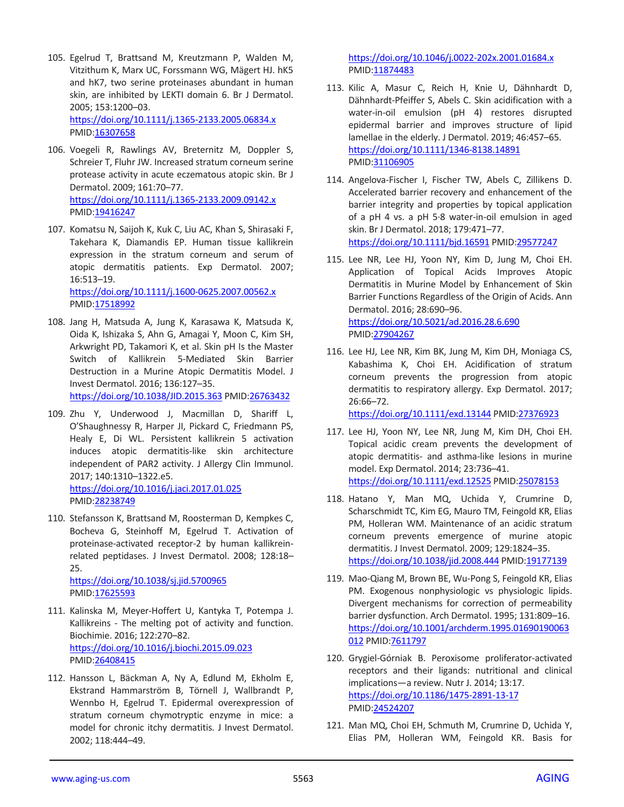- 105. Egelrud T, Brattsand M, Kreutzmann P, Walden M, Vitzithum K, Marx UC, Forssmann WG, Mägert HJ. hK5 and hK7, two serine proteinases abundant in human skin, are inhibited by LEKTI domain 6. Br J Dermatol. 2005; 153:1200–03. <https://doi.org/10.1111/j.1365-2133.2005.06834.x> PMID[:16307658](https://www.ncbi.nlm.nih.gov/pubmed/16307658)
- 106. Voegeli R, Rawlings AV, Breternitz M, Doppler S, Schreier T, Fluhr JW. Increased stratum corneum serine protease activity in acute eczematous atopic skin. Br J Dermatol. 2009; 161:70–77. <https://doi.org/10.1111/j.1365-2133.2009.09142.x> PMID[:19416247](https://www.ncbi.nlm.nih.gov/pubmed/19416247)
- 107. Komatsu N, Saijoh K, Kuk C, Liu AC, Khan S, Shirasaki F, Takehara K, Diamandis EP. Human tissue kallikrein expression in the stratum corneum and serum of atopic dermatitis patients. Exp Dermatol. 2007; 16:513–19. <https://doi.org/10.1111/j.1600-0625.2007.00562.x>

PMID[:17518992](https://www.ncbi.nlm.nih.gov/pubmed/17518992)

- 108. Jang H, Matsuda A, Jung K, Karasawa K, Matsuda K, Oida K, Ishizaka S, Ahn G, Amagai Y, Moon C, Kim SH, Arkwright PD, Takamori K, et al. Skin pH Is the Master Switch of Kallikrein 5-Mediated Skin Barrier Destruction in a Murine Atopic Dermatitis Model. J Invest Dermatol. 2016; 136:127–35. <https://doi.org/10.1038/JID.2015.363> PMID[:26763432](https://www.ncbi.nlm.nih.gov/pubmed/26763432)
- 109. Zhu Y, Underwood J, Macmillan D, Shariff L, O'Shaughnessy R, Harper JI, Pickard C, Friedmann PS, Healy E, Di WL. Persistent kallikrein 5 activation induces atopic dermatitis-like skin architecture independent of PAR2 activity. J Allergy Clin Immunol. 2017; 140:1310–1322.e5. <https://doi.org/10.1016/j.jaci.2017.01.025>

PMID[:28238749](https://www.ncbi.nlm.nih.gov/pubmed/28238749)

110. Stefansson K, Brattsand M, Roosterman D, Kempkes C, Bocheva G, Steinhoff M, Egelrud T. Activation of proteinase-activated receptor-2 by human kallikreinrelated peptidases. J Invest Dermatol. 2008; 128:18– 25.

<https://doi.org/10.1038/sj.jid.5700965> PMID[:17625593](https://www.ncbi.nlm.nih.gov/pubmed/17625593)

- 111. Kalinska M, Meyer-Hoffert U, Kantyka T, Potempa J. Kallikreins - The melting pot of activity and function. Biochimie. 2016; 122:270–82. <https://doi.org/10.1016/j.biochi.2015.09.023> PMID[:26408415](https://www.ncbi.nlm.nih.gov/pubmed/26408415)
- 112. Hansson L, Bäckman A, Ny A, Edlund M, Ekholm E, Ekstrand Hammarström B, Törnell J, Wallbrandt P, Wennbo H, Egelrud T. Epidermal overexpression of stratum corneum chymotryptic enzyme in mice: a model for chronic itchy dermatitis. J Invest Dermatol. 2002; 118:444–49.

<https://doi.org/10.1046/j.0022-202x.2001.01684.x> PMI[D:11874483](https://www.ncbi.nlm.nih.gov/pubmed/11874483)

- 113. Kilic A, Masur C, Reich H, Knie U, Dähnhardt D, Dähnhardt-Pfeiffer S, Abels C. Skin acidification with a water-in-oil emulsion (pH 4) restores disrupted epidermal barrier and improves structure of lipid lamellae in the elderly. J Dermatol. 2019; 46:457–65. <https://doi.org/10.1111/1346-8138.14891> PMI[D:31106905](https://www.ncbi.nlm.nih.gov/pubmed/31106905)
- 114. Angelova-Fischer I, Fischer TW, Abels C, Zillikens D. Accelerated barrier recovery and enhancement of the barrier integrity and properties by topical application of a pH 4 vs. a pH 5·8 water-in-oil emulsion in aged skin. Br J Dermatol. 2018; 179:471–77. <https://doi.org/10.1111/bjd.16591> PMID[:29577247](https://www.ncbi.nlm.nih.gov/pubmed/29577247)
- 115. Lee NR, Lee HJ, Yoon NY, Kim D, Jung M, Choi EH. Application of Topical Acids Improves Atopic Dermatitis in Murine Model by Enhancement of Skin Barrier Functions Regardless of the Origin of Acids. Ann Dermatol. 2016; 28:690–96. <https://doi.org/10.5021/ad.2016.28.6.690> PMI[D:27904267](https://www.ncbi.nlm.nih.gov/pubmed/27904267)
- 116. Lee HJ, Lee NR, Kim BK, Jung M, Kim DH, Moniaga CS, Kabashima K, Choi EH. Acidification of stratum corneum prevents the progression from atopic dermatitis to respiratory allergy. Exp Dermatol. 2017; 26:66–72. <https://doi.org/10.1111/exd.13144> PMID[:27376923](https://www.ncbi.nlm.nih.gov/pubmed/27376923)
- 117. Lee HJ, Yoon NY, Lee NR, Jung M, Kim DH, Choi EH. Topical acidic cream prevents the development of atopic dermatitis- and asthma-like lesions in murine model. Exp Dermatol. 2014; 23:736–41. <https://doi.org/10.1111/exd.12525> PMID[:25078153](https://www.ncbi.nlm.nih.gov/pubmed/25078153)
- 118. Hatano Y, Man MQ, Uchida Y, Crumrine D, Scharschmidt TC, Kim EG, Mauro TM, Feingold KR, Elias PM, Holleran WM. Maintenance of an acidic stratum corneum prevents emergence of murine atopic dermatitis. J Invest Dermatol. 2009; 129:1824–35. <https://doi.org/10.1038/jid.2008.444> PMI[D:19177139](https://www.ncbi.nlm.nih.gov/pubmed/19177139)
- 119. Mao-Qiang M, Brown BE, Wu-Pong S, Feingold KR, Elias PM. Exogenous nonphysiologic vs physiologic lipids. Divergent mechanisms for correction of permeability barrier dysfunction. Arch Dermatol. 1995; 131:809–16. [https://doi.org/10.1001/archderm.1995.01690190063](https://doi.org/10.1001/archderm.1995.01690190063012) [012](https://doi.org/10.1001/archderm.1995.01690190063012) PMID: 7611797
- 120. Grygiel-Górniak B. Peroxisome proliferator-activated receptors and their ligands: nutritional and clinical implications—a review. Nutr J. 2014; 13:17. <https://doi.org/10.1186/1475-2891-13-17> PMI[D:24524207](https://www.ncbi.nlm.nih.gov/pubmed/24524207)
- 121. Man MQ, Choi EH, Schmuth M, Crumrine D, Uchida Y, Elias PM, Holleran WM, Feingold KR. Basis for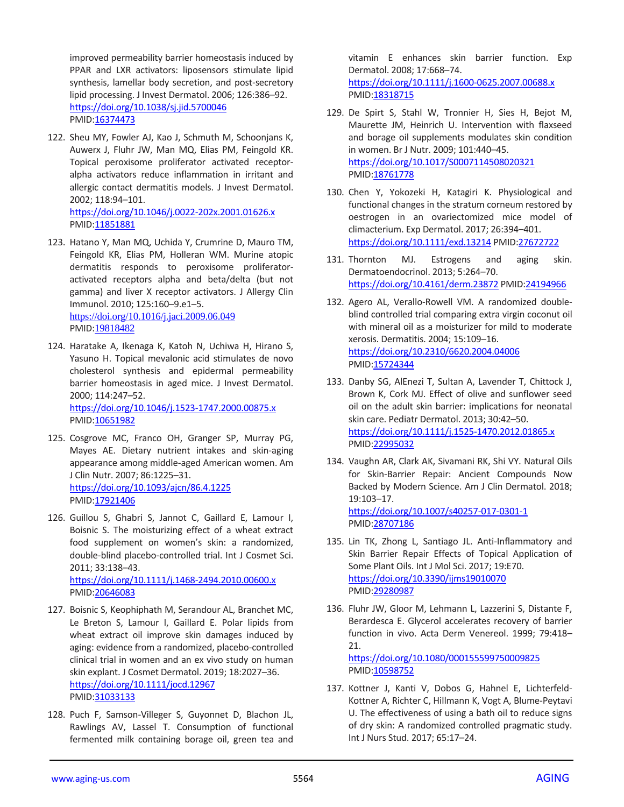improved permeability barrier homeostasis induced by PPAR and LXR activators: liposensors stimulate lipid synthesis, lamellar body secretion, and post-secretory lipid processing. J Invest Dermatol. 2006; 126:386–92. <https://doi.org/10.1038/sj.jid.5700046> PMID[:16374473](https://www.ncbi.nlm.nih.gov/pubmed/16374473)

- 122. Sheu MY, Fowler AJ, Kao J, Schmuth M, Schoonjans K, Auwerx J, Fluhr JW, Man MQ, Elias PM, Feingold KR. Topical peroxisome proliferator activated receptoralpha activators reduce inflammation in irritant and allergic contact dermatitis models. J Invest Dermatol. 2002; 118:94–101. <https://doi.org/10.1046/j.0022-202x.2001.01626.x> PMID: 11851881
- 123. Hatano Y, Man MQ, Uchida Y, Crumrine D, Mauro TM, Feingold KR, Elias PM, Holleran WM. Murine atopic dermatitis responds to peroxisome proliferatoractivated receptors alpha and beta/delta (but not gamma) and liver X receptor activators. J Allergy Clin Immunol. 2010; 125:160–9.e1–5. <https://doi.org/10.1016/j.jaci.2009.06.049> PMID:[19818482](https://www.ncbi.nlm.nih.gov/pubmed/19818482)
- 124. Haratake A, Ikenaga K, Katoh N, Uchiwa H, Hirano S, Yasuno H. Topical mevalonic acid stimulates de novo cholesterol synthesis and epidermal permeability barrier homeostasis in aged mice. J Invest Dermatol. 2000; 114:247–52. <https://doi.org/10.1046/j.1523-1747.2000.00875.x> PMID[:10651982](https://www.ncbi.nlm.nih.gov/pubmed/10651982)
- 125. Cosgrove MC, Franco OH, Granger SP, Murray PG, Mayes AE. Dietary nutrient intakes and skin-aging appearance among middle-aged American women. Am J Clin Nutr. 2007; 86:1225–31. <https://doi.org/10.1093/ajcn/86.4.1225> PMID[:17921406](https://www.ncbi.nlm.nih.gov/pubmed/17921406)
- 126. Guillou S, Ghabri S, Jannot C, Gaillard E, Lamour I, Boisnic S. The moisturizing effect of a wheat extract food supplement on women's skin: a randomized, double-blind placebo-controlled trial. Int J Cosmet Sci. 2011; 33:138–43. <https://doi.org/10.1111/j.1468-2494.2010.00600.x> PMID[:20646083](https://www.ncbi.nlm.nih.gov/pubmed/20646083)
- 127. Boisnic S, Keophiphath M, Serandour AL, Branchet MC, Le Breton S, Lamour I, Gaillard E. Polar lipids from wheat extract oil improve skin damages induced by aging: evidence from a randomized, placebo-controlled clinical trial in women and an ex vivo study on human skin explant. J Cosmet Dermatol. 2019; 18:2027–36. <https://doi.org/10.1111/jocd.12967> PMID[:31033133](https://www.ncbi.nlm.nih.gov/pubmed/31033133)
- 128. Puch F, Samson-Villeger S, Guyonnet D, Blachon JL, Rawlings AV, Lassel T. Consumption of functional fermented milk containing borage oil, green tea and

vitamin E enhances skin barrier function. Exp Dermatol. 2008; 17:668–74. <https://doi.org/10.1111/j.1600-0625.2007.00688.x> PMI[D:18318715](https://www.ncbi.nlm.nih.gov/pubmed/18318715)

- 129. De Spirt S, Stahl W, Tronnier H, Sies H, Bejot M, Maurette JM, Heinrich U. Intervention with flaxseed and borage oil supplements modulates skin condition in women. Br J Nutr. 2009; 101:440–45. <https://doi.org/10.1017/S0007114508020321> PMI[D:18761778](https://www.ncbi.nlm.nih.gov/pubmed/18761778)
- 130. Chen Y, Yokozeki H, Katagiri K. Physiological and functional changes in the stratum corneum restored by oestrogen in an ovariectomized mice model of climacterium. Exp Dermatol. 2017; 26:394–401. <https://doi.org/10.1111/exd.13214> PMID[:27672722](https://www.ncbi.nlm.nih.gov/pubmed/27672722)
- 131. Thornton MJ. Estrogens and aging skin. Dermatoendocrinol. 2013; 5:264–70. <https://doi.org/10.4161/derm.23872> PMID[:24194966](https://www.ncbi.nlm.nih.gov/pubmed/24194966)
- 132. Agero AL, Verallo-Rowell VM. A randomized doubleblind controlled trial comparing extra virgin coconut oil with mineral oil as a moisturizer for mild to moderate xerosis. Dermatitis. 2004; 15:109–16. <https://doi.org/10.2310/6620.2004.04006> PMI[D:15724344](https://www.ncbi.nlm.nih.gov/pubmed/15724344)
- 133. Danby SG, AlEnezi T, Sultan A, Lavender T, Chittock J, Brown K, Cork MJ. Effect of olive and sunflower seed oil on the adult skin barrier: implications for neonatal skin care. Pediatr Dermatol. 2013; 30:42–50. <https://doi.org/10.1111/j.1525-1470.2012.01865.x> PMI[D:22995032](https://www.ncbi.nlm.nih.gov/pubmed/22995032)
- 134. Vaughn AR, Clark AK, Sivamani RK, Shi VY. Natural Oils for Skin-Barrier Repair: Ancient Compounds Now Backed by Modern Science. Am J Clin Dermatol. 2018; 19:103–17.

<https://doi.org/10.1007/s40257-017-0301-1> PMI[D:28707186](https://www.ncbi.nlm.nih.gov/pubmed/28707186)

- 135. Lin TK, Zhong L, Santiago JL. Anti-Inflammatory and Skin Barrier Repair Effects of Topical Application of Some Plant Oils. Int J Mol Sci. 2017; 19:E70. <https://doi.org/10.3390/ijms19010070> PMI[D:29280987](https://www.ncbi.nlm.nih.gov/pubmed/29280987)
- 136. Fluhr JW, Gloor M, Lehmann L, Lazzerini S, Distante F, Berardesca E. Glycerol accelerates recovery of barrier function in vivo. Acta Derm Venereol. 1999; 79:418– 21.

<https://doi.org/10.1080/000155599750009825> PMI[D:10598752](https://www.ncbi.nlm.nih.gov/pubmed/10598752)

137. Kottner J, Kanti V, Dobos G, Hahnel E, Lichterfeld-Kottner A, Richter C, Hillmann K, Vogt A, Blume-Peytavi U. The effectiveness of using a bath oil to reduce signs of dry skin: A randomized controlled pragmatic study. Int J Nurs Stud. 2017; 65:17–24.